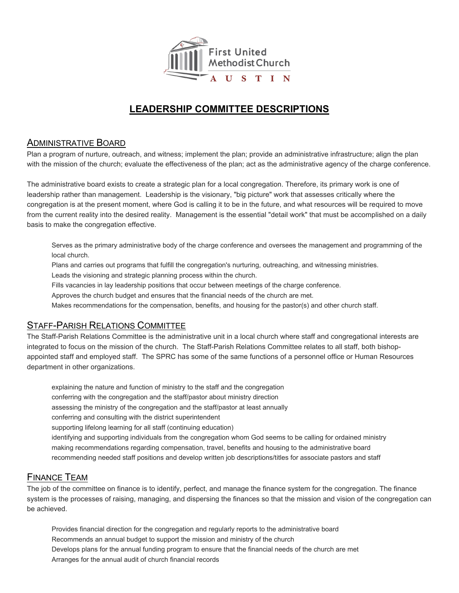

# **LEADERSHIP COMMITTEE DESCRIPTIONS**

#### ADMINISTRATIVE BOARD

Plan a program of nurture, outreach, and witness; implement the plan; provide an administrative infrastructure; align the plan with the mission of the church; evaluate the effectiveness of the plan; act as the administrative agency of the charge conference.

The administrative board exists to create a strategic plan for a local congregation. Therefore, its primary work is one of leadership rather than management. Leadership is the visionary, "big picture" work that assesses critically where the congregation is at the present moment, where God is calling it to be in the future, and what resources will be required to move from the current reality into the desired reality. Management is the essential "detail work" that must be accomplished on a daily basis to make the congregation effective.

Serves as the primary administrative body of the charge conference and oversees the management and programming of the local church.

Plans and carries out programs that fulfill the congregation's nurturing, outreaching, and witnessing ministries.

Leads the visioning and strategic planning process within the church.

Fills vacancies in lay leadership positions that occur between meetings of the charge conference.

Approves the church budget and ensures that the financial needs of the church are met.

Makes recommendations for the compensation, benefits, and housing for the pastor(s) and other church staff.

### STAFF-PARISH RELATIONS COMMITTEE

The Staff-Parish Relations Committee is the administrative unit in a local church where staff and congregational interests are integrated to focus on the mission of the church. The Staff-Parish Relations Committee relates to all staff, both bishopappointed staff and employed staff. The SPRC has some of the same functions of a personnel office or Human Resources department in other organizations.

explaining the nature and function of ministry to the staff and the congregation conferring with the congregation and the staff/pastor about ministry direction assessing the ministry of the congregation and the staff/pastor at least annually conferring and consulting with the district superintendent supporting lifelong learning for all staff (continuing education) identifying and supporting individuals from the congregation whom God seems to be calling for ordained ministry making recommendations regarding compensation, travel, benefits and housing to the administrative board recommending needed staff positions and develop written job descriptions/titles for associate pastors and staff

### FINANCE TEAM

The job of the committee on finance is to identify, perfect, and manage the finance system for the congregation. The finance system is the processes of raising, managing, and dispersing the finances so that the mission and vision of the congregation can be achieved.

Provides financial direction for the congregation and regularly reports to the administrative board Recommends an annual budget to support the mission and ministry of the church Develops plans for the annual funding program to ensure that the financial needs of the church are met Arranges for the annual audit of church financial records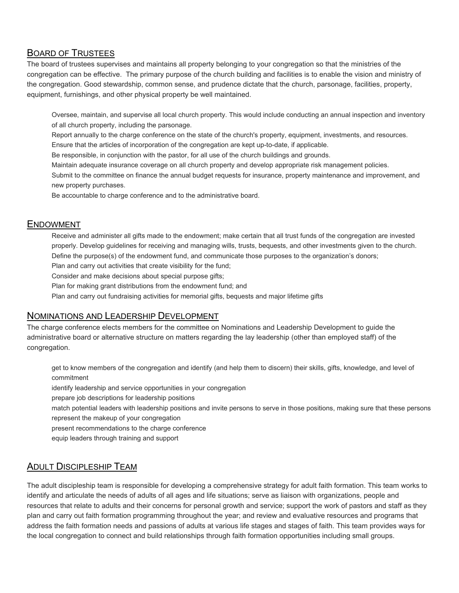## BOARD OF TRUSTEES

The board of trustees supervises and maintains all property belonging to your congregation so that the ministries of the congregation can be effective. The primary purpose of the church building and facilities is to enable the vision and ministry of the congregation. Good stewardship, common sense, and prudence dictate that the church, parsonage, facilities, property, equipment, furnishings, and other physical property be well maintained.

Oversee, maintain, and supervise all local church property. This would include conducting an annual inspection and inventory of all church property, including the parsonage.

Report annually to the charge conference on the state of the church's property, equipment, investments, and resources. Ensure that the articles of incorporation of the congregation are kept up-to-date, if applicable.

Be responsible, in conjunction with the pastor, for all use of the church buildings and grounds.

Maintain adequate insurance coverage on all church property and develop appropriate risk management policies.

Submit to the committee on finance the annual budget requests for insurance, property maintenance and improvement, and new property purchases.

Be accountable to charge conference and to the administrative board.

#### ENDOWMENT

Receive and administer all gifts made to the endowment; make certain that all trust funds of the congregation are invested properly. Develop guidelines for receiving and managing wills, trusts, bequests, and other investments given to the church. Define the purpose(s) of the endowment fund, and communicate those purposes to the organization's donors;

Plan and carry out activities that create visibility for the fund;

Consider and make decisions about special purpose gifts;

Plan for making grant distributions from the endowment fund; and

Plan and carry out fundraising activities for memorial gifts, bequests and major lifetime gifts

#### NOMINATIONS AND LEADERSHIP DEVELOPMENT

The charge conference elects members for the committee on Nominations and Leadership Development to guide the administrative board or alternative structure on matters regarding the lay leadership (other than employed staff) of the congregation.

get to know members of the congregation and identify (and help them to discern) their skills, gifts, knowledge, and level of commitment

identify leadership and service opportunities in your congregation

prepare job descriptions for leadership positions

match potential leaders with leadership positions and invite persons to serve in those positions, making sure that these persons represent the makeup of your congregation

present recommendations to the charge conference

equip leaders through training and support

## ADULT DISCIPLESHIP TEAM

The adult discipleship team is responsible for developing a comprehensive strategy for adult faith formation. This team works to identify and articulate the needs of adults of all ages and life situations; serve as liaison with organizations, people and resources that relate to adults and their concerns for personal growth and service; support the work of pastors and staff as they plan and carry out faith formation programming throughout the year; and review and evaluative resources and programs that address the faith formation needs and passions of adults at various life stages and stages of faith. This team provides ways for the local congregation to connect and build relationships through faith formation opportunities including small groups.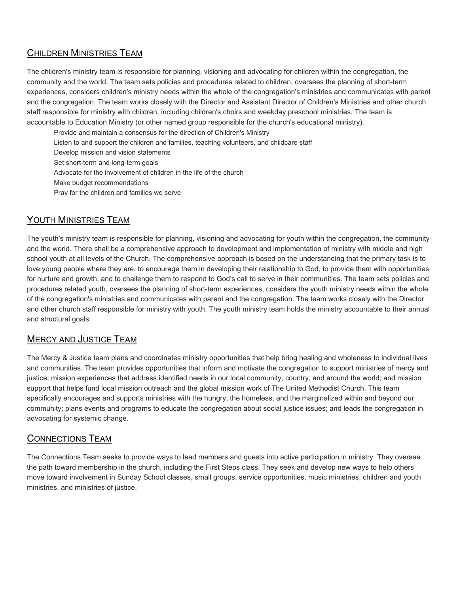# CHILDREN MINISTRIES TEAM

The children's ministry team is responsible for planning, visioning and advocating for children within the congregation, the community and the world. The team sets policies and procedures related to children, oversees the planning of short-term experiences, considers children's ministry needs within the whole of the congregation's ministries and communicates with parent and the congregation. The team works closely with the Director and Assistant Director of Children's Ministries and other church staff responsible for ministry with children, including children's choirs and weekday preschool ministries. The team is accountable to Education Ministry (or other named group responsible for the church's educational ministry).

- Provide and maintain a consensus for the direction of Children's Ministry
- Listen to and support the children and families, teaching volunteers, and childcare staff
- Develop mission and vision statements
- Set short-term and long-term goals
- Advocate for the involvement of children in the life of the church
- Make budget recommendations
- Pray for the children and families we serve

# YOUTH MINISTRIES TEAM

The youth's ministry team is responsible for planning, visioning and advocating for youth within the congregation, the community and the world. There shall be a comprehensive approach to development and implementation of ministry with middle and high school youth at all levels of the Church. The comprehensive approach is based on the understanding that the primary task is to love young people where they are, to encourage them in developing their relationship to God, to provide them with opportunities for nurture and growth, and to challenge them to respond to God's call to serve in their communities. The team sets policies and procedures related youth, oversees the planning of short-term experiences, considers the youth ministry needs within the whole of the congregation's ministries and communicates with parent and the congregation. The team works closely with the Director and other church staff responsible for ministry with youth. The youth ministry team holds the ministry accountable to their annual and structural goals.

### MERCY AND JUSTICE TEAM

The Mercy & Justice team plans and coordinates ministry opportunities that help bring healing and wholeness to individual lives and communities. The team provides opportunities that inform and motivate the congregation to support ministries of mercy and justice; mission experiences that address identified needs in our local community, country, and around the world; and mission support that helps fund local mission outreach and the global mission work of The United Methodist Church. This team specifically encourages and supports ministries with the hungry, the homeless, and the marginalized within and beyond our community; plans events and programs to educate the congregation about social justice issues; and leads the congregation in advocating for systemic change.

## CONNECTIONS TEAM

The Connections Team seeks to provide ways to lead members and guests into active participation in ministry. They oversee the path toward membership in the church, including the First Steps class. They seek and develop new ways to help others move toward involvement in Sunday School classes, small groups, service opportunities, music ministries, children and youth ministries, and ministries of justice.